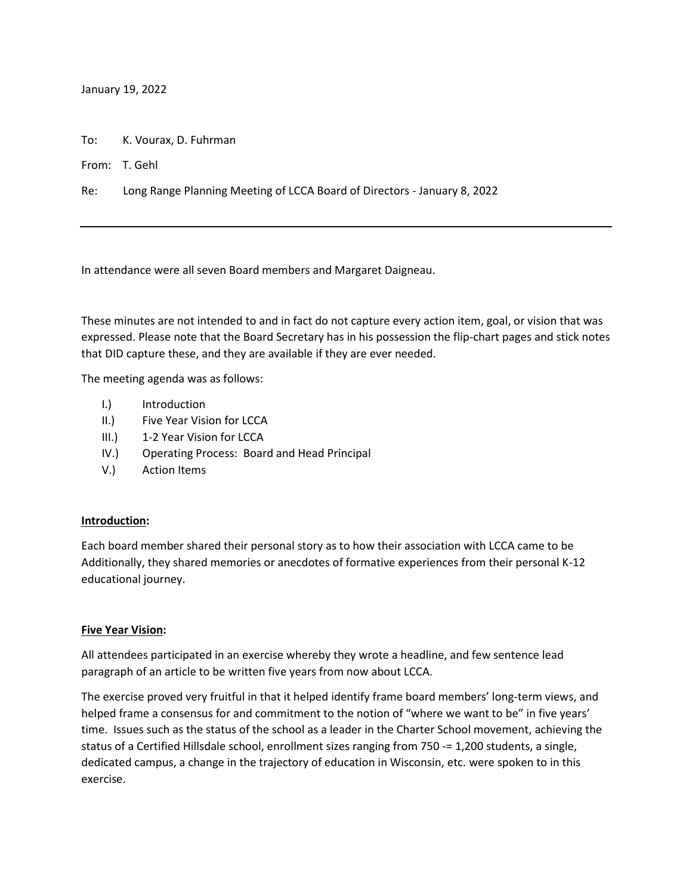January 19, 2022

To: K. Vourax, D. Fuhrman

From: T. Gehl

Re: Long Range Planning Meeting of LCCA Board of Directors - January 8, 2022

In attendance were all seven Board members and Margaret Daigneau.

These minutes are not intended to and in fact do not capture every action item, goal, or vision that was expressed. Please note that the Board Secretary has in his possession the flip-chart pages and stick notes that DID capture these, and they are available if they are ever needed.

The meeting agenda was as follows:

- I.) Introduction
- II.) Five Year Vision for LCCA
- III.) 1-2 Year Vision for LCCA
- IV.) Operating Process: Board and Head Principal
- V.) Action Items

### **Introduction:**

Each board member shared their personal story as to how their association with LCCA came to be Additionally, they shared memories or anecdotes of formative experiences from their personal K-12 educational journey.

### **Five Year Vision:**

All attendees participated in an exercise whereby they wrote a headline, and few sentence lead paragraph of an article to be written five years from now about LCCA.

The exercise proved very fruitful in that it helped identify frame board members' long-term views, and helped frame a consensus for and commitment to the notion of "where we want to be" in five years' time. Issues such as the status of the school as a leader in the Charter School movement, achieving the status of a Certified Hillsdale school, enrollment sizes ranging from 750 -= 1,200 students, a single, dedicated campus, a change in the trajectory of education in Wisconsin, etc. were spoken to in this exercise.